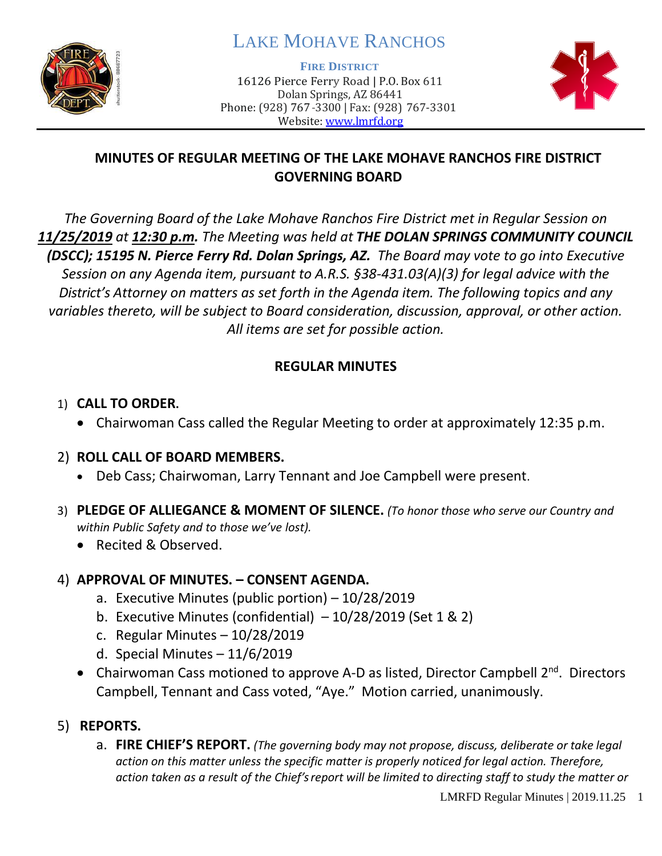

# LAKE MOHAVE RANCHOS

**FIRE DISTRICT**

16126 Pierce Ferry Road | P.O. Box 611 Dolan Springs, AZ 86441 Phone: (928) 767-3300 | Fax: (928) 767-3301 Website: [www.lmrfd.org](http://www.lmrfd.org/)



# **MINUTES OF REGULAR MEETING OF THE LAKE MOHAVE RANCHOS FIRE DISTRICT GOVERNING BOARD**

*The Governing Board of the Lake Mohave Ranchos Fire District met in Regular Session on 11/25/2019 at 12:30 p.m. The Meeting was held at THE DOLAN SPRINGS COMMUNITY COUNCIL (DSCC); 15195 N. Pierce Ferry Rd. Dolan Springs, AZ. The Board may vote to go into Executive Session on any Agenda item, pursuant to A.R.S. §38-431.03(A)(3) for legal advice with the District's Attorney on matters as set forth in the Agenda item. The following topics and any variables thereto, will be subject to Board consideration, discussion, approval, or other action. All items are set for possible action.* 

# **REGULAR MINUTES**

#### 1) **CALL TO ORDER.**

• Chairwoman Cass called the Regular Meeting to order at approximately 12:35 p.m.

#### 2) **ROLL CALL OF BOARD MEMBERS.**

- Deb Cass; Chairwoman, Larry Tennant and Joe Campbell were present.
- 3) **PLEDGE OF ALLIEGANCE & MOMENT OF SILENCE.** *(To honor those who serve our Country and within Public Safety and to those we've lost).*
	- Recited & Observed.

#### 4) **APPROVAL OF MINUTES. – CONSENT AGENDA.**

- a. Executive Minutes (public portion) 10/28/2019
- b. Executive Minutes (confidential)  $-10/28/2019$  (Set 1 & 2)
- c. Regular Minutes 10/28/2019
- d. Special Minutes 11/6/2019
- Chairwoman Cass motioned to approve A-D as listed, Director Campbell 2<sup>nd</sup>. Directors Campbell, Tennant and Cass voted, "Aye." Motion carried, unanimously.
- 5) **REPORTS.** 
	- a. **FIRE CHIEF'S REPORT.** *(The governing body may not propose, discuss, deliberate or take legal action on this matter unless the specific matter is properly noticed for legal action. Therefore, action taken as a result of the Chief's report will be limited to directing staff to study the matter or*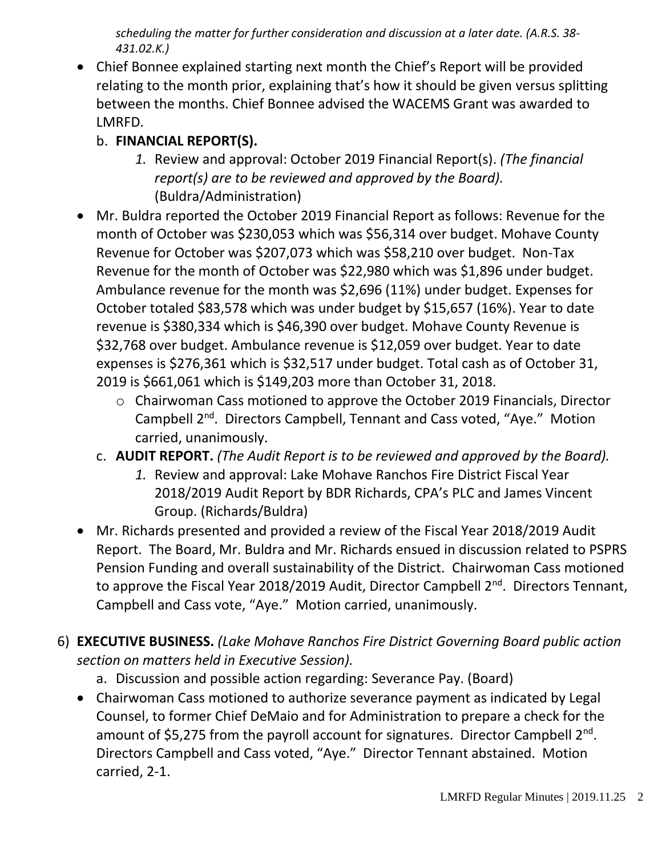*scheduling the matter for further consideration and discussion at a later date. (A.R.S. 38- 431.02.K.)*

• Chief Bonnee explained starting next month the Chief's Report will be provided relating to the month prior, explaining that's how it should be given versus splitting between the months. Chief Bonnee advised the WACEMS Grant was awarded to LMRFD.

# b. **FINANCIAL REPORT(S).**

- *1.* Review and approval: October 2019 Financial Report(s). *(The financial report(s) are to be reviewed and approved by the Board).* (Buldra/Administration)
- Mr. Buldra reported the October 2019 Financial Report as follows: Revenue for the month of October was \$230,053 which was \$56,314 over budget. Mohave County Revenue for October was \$207,073 which was \$58,210 over budget. Non-Tax Revenue for the month of October was \$22,980 which was \$1,896 under budget. Ambulance revenue for the month was \$2,696 (11%) under budget. Expenses for October totaled \$83,578 which was under budget by \$15,657 (16%). Year to date revenue is \$380,334 which is \$46,390 over budget. Mohave County Revenue is \$32,768 over budget. Ambulance revenue is \$12,059 over budget. Year to date expenses is \$276,361 which is \$32,517 under budget. Total cash as of October 31, 2019 is \$661,061 which is \$149,203 more than October 31, 2018.
	- o Chairwoman Cass motioned to approve the October 2019 Financials, Director Campbell 2nd. Directors Campbell, Tennant and Cass voted, "Aye." Motion carried, unanimously.
	- c. **AUDIT REPORT.** *(The Audit Report is to be reviewed and approved by the Board).* 
		- *1.* Review and approval: Lake Mohave Ranchos Fire District Fiscal Year 2018/2019 Audit Report by BDR Richards, CPA's PLC and James Vincent Group. (Richards/Buldra)
- Mr. Richards presented and provided a review of the Fiscal Year 2018/2019 Audit Report. The Board, Mr. Buldra and Mr. Richards ensued in discussion related to PSPRS Pension Funding and overall sustainability of the District. Chairwoman Cass motioned to approve the Fiscal Year 2018/2019 Audit, Director Campbell 2<sup>nd</sup>. Directors Tennant, Campbell and Cass vote, "Aye." Motion carried, unanimously.
- 6) **EXECUTIVE BUSINESS.** *(Lake Mohave Ranchos Fire District Governing Board public action section on matters held in Executive Session).*
	- a. Discussion and possible action regarding: Severance Pay. (Board)
	- Chairwoman Cass motioned to authorize severance payment as indicated by Legal Counsel, to former Chief DeMaio and for Administration to prepare a check for the amount of \$5,275 from the payroll account for signatures. Director Campbell 2<sup>nd</sup>. Directors Campbell and Cass voted, "Aye." Director Tennant abstained. Motion carried, 2-1.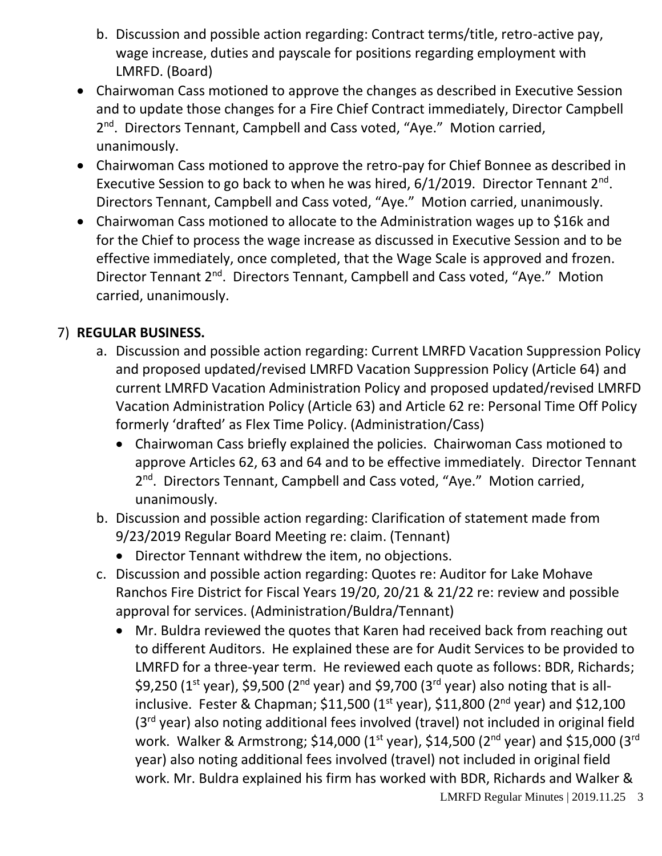- b. Discussion and possible action regarding: Contract terms/title, retro-active pay, wage increase, duties and payscale for positions regarding employment with LMRFD. (Board)
- Chairwoman Cass motioned to approve the changes as described in Executive Session and to update those changes for a Fire Chief Contract immediately, Director Campbell 2<sup>nd</sup>. Directors Tennant, Campbell and Cass voted, "Aye." Motion carried, unanimously.
- Chairwoman Cass motioned to approve the retro-pay for Chief Bonnee as described in Executive Session to go back to when he was hired,  $6/1/2019$ . Director Tennant  $2<sup>nd</sup>$ . Directors Tennant, Campbell and Cass voted, "Aye." Motion carried, unanimously.
- Chairwoman Cass motioned to allocate to the Administration wages up to \$16k and for the Chief to process the wage increase as discussed in Executive Session and to be effective immediately, once completed, that the Wage Scale is approved and frozen. Director Tennant 2<sup>nd</sup>. Directors Tennant, Campbell and Cass voted, "Aye." Motion carried, unanimously.

# 7) **REGULAR BUSINESS.**

- a. Discussion and possible action regarding: Current LMRFD Vacation Suppression Policy and proposed updated/revised LMRFD Vacation Suppression Policy (Article 64) and current LMRFD Vacation Administration Policy and proposed updated/revised LMRFD Vacation Administration Policy (Article 63) and Article 62 re: Personal Time Off Policy formerly 'drafted' as Flex Time Policy. (Administration/Cass)
	- Chairwoman Cass briefly explained the policies. Chairwoman Cass motioned to approve Articles 62, 63 and 64 and to be effective immediately. Director Tennant 2<sup>nd</sup>. Directors Tennant, Campbell and Cass voted, "Aye." Motion carried, unanimously.
- b. Discussion and possible action regarding: Clarification of statement made from 9/23/2019 Regular Board Meeting re: claim. (Tennant)
	- Director Tennant withdrew the item, no objections.
- c. Discussion and possible action regarding: Quotes re: Auditor for Lake Mohave Ranchos Fire District for Fiscal Years 19/20, 20/21 & 21/22 re: review and possible approval for services. (Administration/Buldra/Tennant)
	- Mr. Buldra reviewed the quotes that Karen had received back from reaching out to different Auditors. He explained these are for Audit Services to be provided to LMRFD for a three-year term. He reviewed each quote as follows: BDR, Richards; \$9,250 ( $1<sup>st</sup>$  year), \$9,500 ( $2<sup>nd</sup>$  year) and \$9,700 ( $3<sup>rd</sup>$  year) also noting that is allinclusive. Fester & Chapman;  $$11,500$  ( $1<sup>st</sup>$  year),  $$11,800$  ( $2<sup>nd</sup>$  year) and  $$12,100$ (3<sup>rd</sup> year) also noting additional fees involved (travel) not included in original field work. Walker & Armstrong; \$14,000 (1<sup>st</sup> year), \$14,500 (2<sup>nd</sup> year) and \$15,000 (3<sup>rd</sup> year) also noting additional fees involved (travel) not included in original field work. Mr. Buldra explained his firm has worked with BDR, Richards and Walker &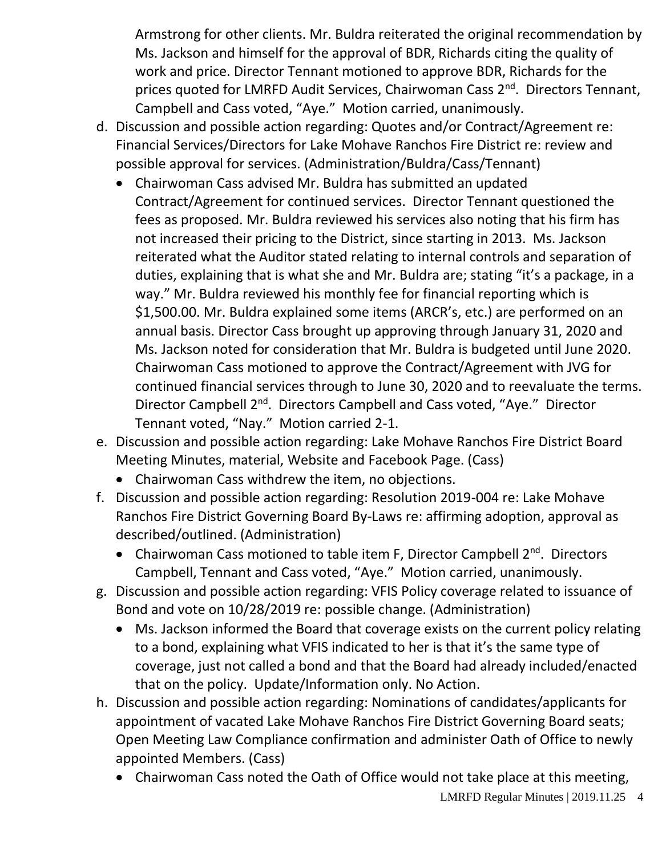Armstrong for other clients. Mr. Buldra reiterated the original recommendation by Ms. Jackson and himself for the approval of BDR, Richards citing the quality of work and price. Director Tennant motioned to approve BDR, Richards for the prices quoted for LMRFD Audit Services, Chairwoman Cass 2<sup>nd</sup>. Directors Tennant, Campbell and Cass voted, "Aye." Motion carried, unanimously.

- d. Discussion and possible action regarding: Quotes and/or Contract/Agreement re: Financial Services/Directors for Lake Mohave Ranchos Fire District re: review and possible approval for services. (Administration/Buldra/Cass/Tennant)
	- Chairwoman Cass advised Mr. Buldra has submitted an updated Contract/Agreement for continued services. Director Tennant questioned the fees as proposed. Mr. Buldra reviewed his services also noting that his firm has not increased their pricing to the District, since starting in 2013. Ms. Jackson reiterated what the Auditor stated relating to internal controls and separation of duties, explaining that is what she and Mr. Buldra are; stating "it's a package, in a way." Mr. Buldra reviewed his monthly fee for financial reporting which is \$1,500.00. Mr. Buldra explained some items (ARCR's, etc.) are performed on an annual basis. Director Cass brought up approving through January 31, 2020 and Ms. Jackson noted for consideration that Mr. Buldra is budgeted until June 2020. Chairwoman Cass motioned to approve the Contract/Agreement with JVG for continued financial services through to June 30, 2020 and to reevaluate the terms. Director Campbell 2nd. Directors Campbell and Cass voted, "Aye." Director Tennant voted, "Nay." Motion carried 2-1.
- e. Discussion and possible action regarding: Lake Mohave Ranchos Fire District Board Meeting Minutes, material, Website and Facebook Page. (Cass)
	- Chairwoman Cass withdrew the item, no objections.
- f. Discussion and possible action regarding: Resolution 2019-004 re: Lake Mohave Ranchos Fire District Governing Board By-Laws re: affirming adoption, approval as described/outlined. (Administration)
	- Chairwoman Cass motioned to table item F, Director Campbell 2<sup>nd</sup>. Directors Campbell, Tennant and Cass voted, "Aye." Motion carried, unanimously.
- g. Discussion and possible action regarding: VFIS Policy coverage related to issuance of Bond and vote on 10/28/2019 re: possible change. (Administration)
	- Ms. Jackson informed the Board that coverage exists on the current policy relating to a bond, explaining what VFIS indicated to her is that it's the same type of coverage, just not called a bond and that the Board had already included/enacted that on the policy. Update/Information only. No Action.
- h. Discussion and possible action regarding: Nominations of candidates/applicants for appointment of vacated Lake Mohave Ranchos Fire District Governing Board seats; Open Meeting Law Compliance confirmation and administer Oath of Office to newly appointed Members. (Cass)
	- Chairwoman Cass noted the Oath of Office would not take place at this meeting,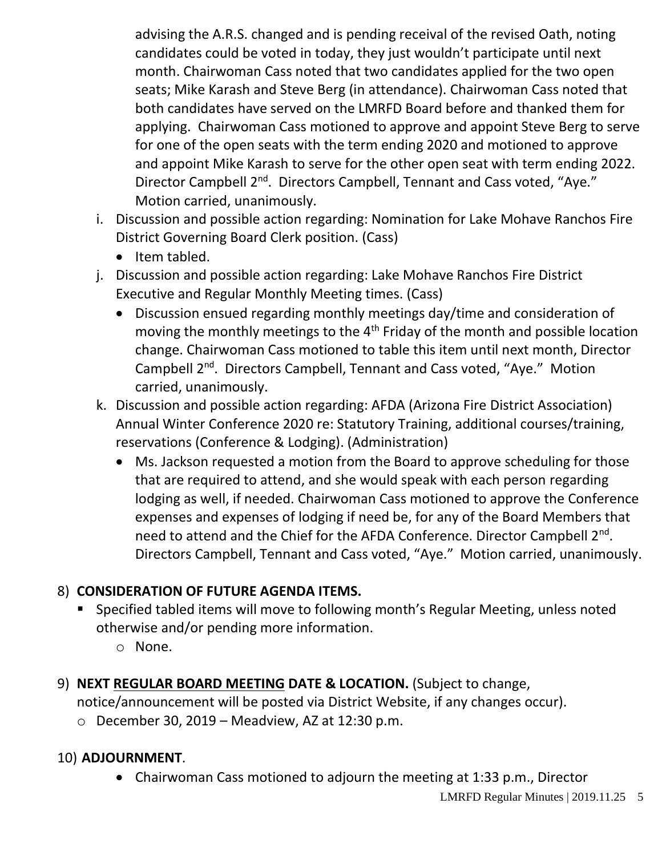advising the A.R.S. changed and is pending receival of the revised Oath, noting candidates could be voted in today, they just wouldn't participate until next month. Chairwoman Cass noted that two candidates applied for the two open seats; Mike Karash and Steve Berg (in attendance). Chairwoman Cass noted that both candidates have served on the LMRFD Board before and thanked them for applying. Chairwoman Cass motioned to approve and appoint Steve Berg to serve for one of the open seats with the term ending 2020 and motioned to approve and appoint Mike Karash to serve for the other open seat with term ending 2022. Director Campbell 2<sup>nd</sup>. Directors Campbell, Tennant and Cass voted, "Aye." Motion carried, unanimously.

- i. Discussion and possible action regarding: Nomination for Lake Mohave Ranchos Fire District Governing Board Clerk position. (Cass)
	- Item tabled.
- j. Discussion and possible action regarding: Lake Mohave Ranchos Fire District Executive and Regular Monthly Meeting times. (Cass)
	- Discussion ensued regarding monthly meetings day/time and consideration of moving the monthly meetings to the 4<sup>th</sup> Friday of the month and possible location change. Chairwoman Cass motioned to table this item until next month, Director Campbell 2nd. Directors Campbell, Tennant and Cass voted, "Aye." Motion carried, unanimously.
- k. Discussion and possible action regarding: AFDA (Arizona Fire District Association) Annual Winter Conference 2020 re: Statutory Training, additional courses/training, reservations (Conference & Lodging). (Administration)
	- Ms. Jackson requested a motion from the Board to approve scheduling for those that are required to attend, and she would speak with each person regarding lodging as well, if needed. Chairwoman Cass motioned to approve the Conference expenses and expenses of lodging if need be, for any of the Board Members that need to attend and the Chief for the AFDA Conference. Director Campbell 2<sup>nd</sup>. Directors Campbell, Tennant and Cass voted, "Aye." Motion carried, unanimously.

# 8) **CONSIDERATION OF FUTURE AGENDA ITEMS.**

- Specified tabled items will move to following month's Regular Meeting, unless noted otherwise and/or pending more information.
	- o None.
- 9) **NEXT REGULAR BOARD MEETING DATE & LOCATION.** (Subject to change,

notice/announcement will be posted via District Website, if any changes occur).

 $\circ$  December 30, 2019 – Meadview, AZ at 12:30 p.m.

# 10) **ADJOURNMENT**.

• Chairwoman Cass motioned to adjourn the meeting at 1:33 p.m., Director